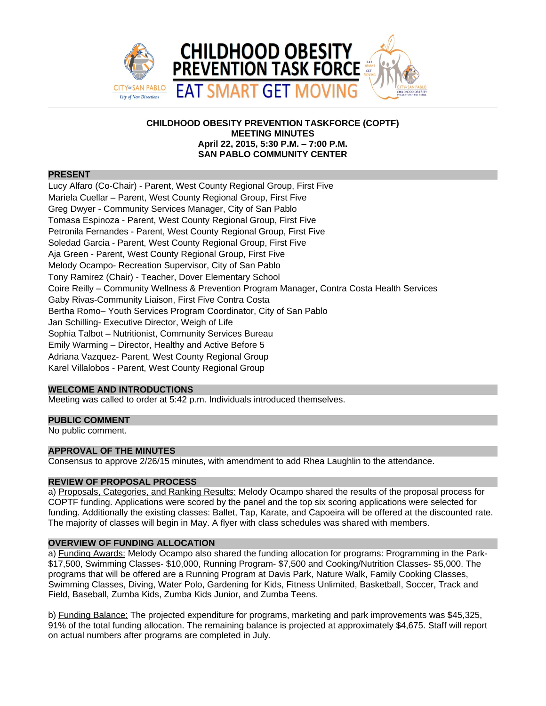

# **CHILDHOOD OBESITY PREVENTION TASKFORCE (COPTF) MEETING MINUTES April 22, 2015, 5:30 P.M. – 7:00 P.M. SAN PABLO COMMUNITY CENTER**

### **PRESENT**

Lucy Alfaro (Co-Chair) - Parent, West County Regional Group, First Five Mariela Cuellar – Parent, West County Regional Group, First Five Greg Dwyer - Community Services Manager, City of San Pablo Tomasa Espinoza - Parent, West County Regional Group, First Five Petronila Fernandes - Parent, West County Regional Group, First Five Soledad Garcia - Parent, West County Regional Group, First Five Aja Green - Parent, West County Regional Group, First Five Melody Ocampo- Recreation Supervisor, City of San Pablo Tony Ramirez (Chair) - Teacher, Dover Elementary School Coire Reilly – Community Wellness & Prevention Program Manager, Contra Costa Health Services Gaby Rivas-Community Liaison, First Five Contra Costa Bertha Romo– Youth Services Program Coordinator, City of San Pablo Jan Schilling- Executive Director, Weigh of Life Sophia Talbot – Nutritionist, Community Services Bureau Emily Warming – Director, Healthy and Active Before 5 Adriana Vazquez- Parent, West County Regional Group Karel Villalobos - Parent, West County Regional Group

## **WELCOME AND INTRODUCTIONS**

Meeting was called to order at 5:42 p.m. Individuals introduced themselves.

## **PUBLIC COMMENT**

No public comment.

# **APPROVAL OF THE MINUTES**

Consensus to approve 2/26/15 minutes, with amendment to add Rhea Laughlin to the attendance.

# **REVIEW OF PROPOSAL PROCESS**

a) Proposals, Categories, and Ranking Results: Melody Ocampo shared the results of the proposal process for COPTF funding. Applications were scored by the panel and the top six scoring applications were selected for funding. Additionally the existing classes: Ballet, Tap, Karate, and Capoeira will be offered at the discounted rate. The majority of classes will begin in May. A flyer with class schedules was shared with members.

## **OVERVIEW OF FUNDING ALLOCATION**

a) Funding Awards: Melody Ocampo also shared the funding allocation for programs: Programming in the Park-\$17,500, Swimming Classes- \$10,000, Running Program- \$7,500 and Cooking/Nutrition Classes- \$5,000. The programs that will be offered are a Running Program at Davis Park, Nature Walk, Family Cooking Classes, Swimming Classes, Diving, Water Polo, Gardening for Kids, Fitness Unlimited, Basketball, Soccer, Track and Field, Baseball, Zumba Kids, Zumba Kids Junior, and Zumba Teens.

b) Funding Balance: The projected expenditure for programs, marketing and park improvements was \$45,325, 91% of the total funding allocation. The remaining balance is projected at approximately \$4,675. Staff will report on actual numbers after programs are completed in July.